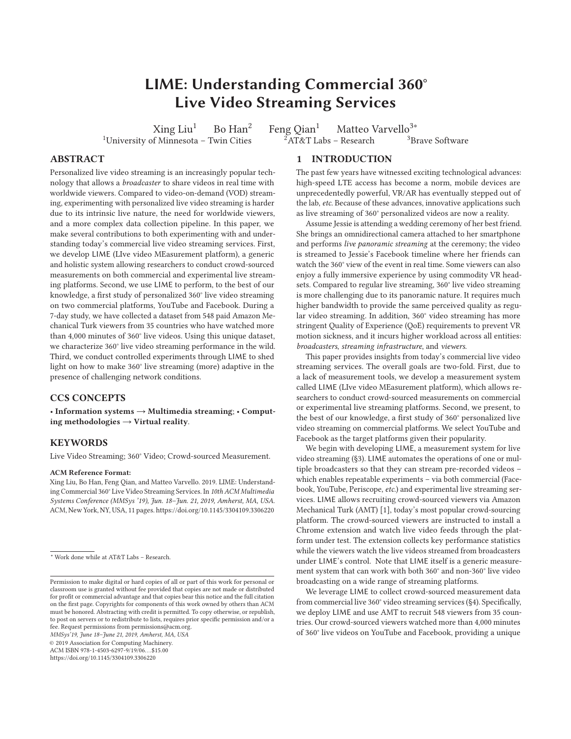# **LIME: Understanding Commercial 360° Live Video Streaming Services**

<sup>1</sup>University of Minnesota – Twin Cities

 $Xing Liu<sup>1</sup>$  Bo  $Han<sup>2</sup>$  Feng Qian<sup>1</sup> Matteo Varvello<sup>3∗</sup><br>of Minnesota – Twin Cities  $2AT&T$  Labs – Research  $3B$  Brave Software

**ABSTRACT**

Personalized live video streaming is an increasingly popular technology that allows a *broadcaster* to share videos in real time with worldwide viewers. Compared to video-on-demand (VOD) streaming, experimenting with personalized live video streaming is harder due to its intrinsic live nature, the need for worldwide viewers, and a more complex data collection pipeline. In this paper, we make several contributions to both experimenting with and understanding today's commercial live video streaming services. First, we develop LIME (LIve video MEasurement platform), a generic and holistic system allowing researchers to conduct crowd-sourced measurements on both commercial and experimental live streaming platforms. Second, we use LIME to perform, to the best of our knowledge, a first study of personalized 360° live video streaming on two commercial platforms, YouTube and Facebook. During a 7-day study, we have collected a dataset from 548 paid Amazon Mechanical Turk viewers from 35 countries who have watched more than 4,000 minutes of 360° live videos. Using this unique dataset, we characterize 360° live video streaming performance in the wild. Third, we conduct controlled experiments through LIME to shed light on how to make 360° live streaming (more) adaptive in the presence of challenging network conditions.

# **CCS CONCEPTS**

• **Information systems** → **Multimedia streaming**; • **Computing methodologies** → **Virtual reality**.

# **KEYWORDS**

Live Video Streaming; 360° Video; Crowd-sourced Measurement.

#### **ACM Reference Format:**

Xing Liu, Bo Han, Feng Qian, and Matteo Varvello. 2019. LIME: Understanding Commercial 360° Live Video Streaming Services. In *10th ACM Multimedia Systems Conference (MMSys '19), Jun. 18–Jun. 21, 2019, Amherst, MA, USA.* ACM, New York, NY, USA, 11 pages. https://doi.org/10.1145/3304109.3306220

*MMSys'19, June 18–June 21, 2019, Amherst, MA, USA*

© 2019 Association for Computing Machinery.

ACM ISBN 978-1-4503-6297-9/19/06. . . \$15.00

https://doi.org/10.1145/3304109.3306220

# **1 INTRODUCTION**

The past few years have witnessed exciting technological advances: high-speed LTE access has become a norm, mobile devices are unprecedentedly powerful, VR/AR has eventually stepped out of the lab, *etc.* Because of these advances, innovative applications such as live streaming of 360° personalized videos are now a reality.

Assume Jessie is attending a wedding ceremony of her best friend. She brings an omnidirectional camera attached to her smartphone and performs *live panoramic streaming* at the ceremony; the video is streamed to Jessie's Facebook timeline where her friends can watch the 360° view of the event in real time. Some viewers can also enjoy a fully immersive experience by using commodity VR headsets. Compared to regular live streaming, 360° live video streaming is more challenging due to its panoramic nature. It requires much higher bandwidth to provide the same perceived quality as regular video streaming. In addition, 360° video streaming has more stringent Quality of Experience (QoE) requirements to prevent VR motion sickness, and it incurs higher workload across all entities: *broadcasters*, *streaming infrastructure*, and *viewers*.

This paper provides insights from today's commercial live video streaming services. The overall goals are two-fold. First, due to a lack of measurement tools, we develop a measurement system called LIME (LIve video MEasurement platform), which allows researchers to conduct crowd-sourced measurements on commercial or experimental live streaming platforms. Second, we present, to the best of our knowledge, a first study of 360° personalized live video streaming on commercial platforms. We select YouTube and Facebook as the target platforms given their popularity.

We begin with developing LIME, a measurement system for live video streaming (§3). LIME automates the operations of one or multiple broadcasters so that they can stream pre-recorded videos – which enables repeatable experiments – via both commercial (Facebook, YouTube, Periscope, *etc.*) and experimental live streaming services. LIME allows recruiting crowd-sourced viewers via Amazon Mechanical Turk (AMT) [1], today's most popular crowd-sourcing platform. The crowd-sourced viewers are instructed to install a Chrome extension and watch live video feeds through the platform under test. The extension collects key performance statistics while the viewers watch the live videos streamed from broadcasters under LIME's control. Note that LIME itself is a generic measurement system that can work with both 360° and non-360° live video broadcasting on a wide range of streaming platforms.

We leverage LIME to collect crowd-sourced measurement data from commercial live 360° video streaming services (§4). Specifically, we deploy LIME and use AMT to recruit 548 viewers from 35 countries. Our crowd-sourced viewers watched more than 4,000 minutes of 360° live videos on YouTube and Facebook, providing a unique

<sup>\*</sup> Work done while at AT&T Labs – Research.

Permission to make digital or hard copies of all or part of this work for personal or classroom use is granted without fee provided that copies are not made or distributed for profit or commercial advantage and that copies bear this notice and the full citation on the first page. Copyrights for components of this work owned by others than ACM must be honored. Abstracting with credit is permitted. To copy otherwise, or republish, to post on servers or to redistribute to lists, requires prior specific permission and/or a fee. Request permissions from permissions@acm.org.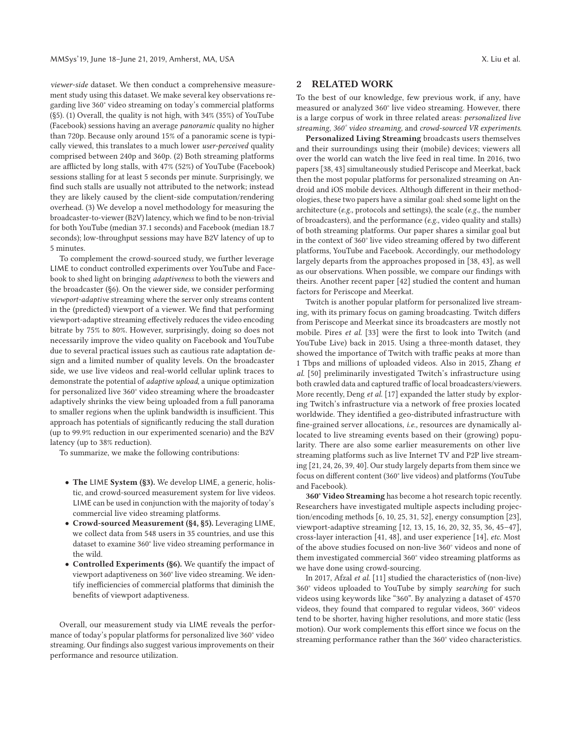*viewer-side* dataset. We then conduct a comprehensive measurement study using this dataset. We make several key observations regarding live 360° video streaming on today's commercial platforms (§5). (1) Overall, the quality is not high, with 34% (35%) of YouTube (Facebook) sessions having an average *panoramic* quality no higher than 720p. Because only around 15% of a panoramic scene is typically viewed, this translates to a much lower *user-perceived* quality comprised between 240p and 360p. (2) Both streaming platforms are afflicted by long stalls, with 47% (52%) of YouTube (Facebook) sessions stalling for at least 5 seconds per minute. Surprisingly, we find such stalls are usually not attributed to the network; instead they are likely caused by the client-side computation/rendering overhead. (3) We develop a novel methodology for measuring the broadcaster-to-viewer (B2V) latency, which we find to be non-trivial for both YouTube (median 37.1 seconds) and Facebook (median 18.7 seconds); low-throughput sessions may have B2V latency of up to 5 minutes.

To complement the crowd-sourced study, we further leverage LIME to conduct controlled experiments over YouTube and Facebook to shed light on bringing *adaptiveness* to both the viewers and the broadcaster (§6). On the viewer side, we consider performing *viewport-adaptive* streaming where the server only streams content in the (predicted) viewport of a viewer. We find that performing viewport-adaptive streaming effectively reduces the video encoding bitrate by 75% to 80%. However, surprisingly, doing so does not necessarily improve the video quality on Facebook and YouTube due to several practical issues such as cautious rate adaptation design and a limited number of quality levels. On the broadcaster side, we use live videos and real-world cellular uplink traces to demonstrate the potential of *adaptive upload*, a unique optimization for personalized live 360° video streaming where the broadcaster adaptively shrinks the view being uploaded from a full panorama to smaller regions when the uplink bandwidth is insufficient. This approach has potentials of significantly reducing the stall duration (up to 99.9% reduction in our experimented scenario) and the B2V latency (up to 38% reduction).

To summarize, we make the following contributions:

- **The** LIME **System (§3).** We develop LIME, a generic, holistic, and crowd-sourced measurement system for live videos. LIME can be used in conjunction with the majority of today's commercial live video streaming platforms.
- **Crowd-sourced Measurement (§4, §5).** Leveraging LIME, we collect data from 548 users in 35 countries, and use this dataset to examine 360° live video streaming performance in the wild.
- **Controlled Experiments (§6).** We quantify the impact of viewport adaptiveness on 360° live video streaming. We identify inefficiencies of commercial platforms that diminish the benefits of viewport adaptiveness.

Overall, our measurement study via LIME reveals the performance of today's popular platforms for personalized live 360° video streaming. Our findings also suggest various improvements on their performance and resource utilization.

# **2 RELATED WORK**

To the best of our knowledge, few previous work, if any, have measured or analyzed 360° live video streaming. However, there is a large corpus of work in three related areas: *personalized live streaming*, *360° video streaming*, and *crowd-sourced VR experiments*.

**Personalized Living Streaming** broadcasts users themselves and their surroundings using their (mobile) devices; viewers all over the world can watch the live feed in real time. In 2016, two papers [38, 43] simultaneously studied Periscope and Meerkat, back then the most popular platforms for personalized streaming on Android and iOS mobile devices. Although different in their methodologies, these two papers have a similar goal: shed some light on the architecture (*e.g.,* protocols and settings), the scale (*e.g.,* the number of broadcasters), and the performance (*e.g.,* video quality and stalls) of both streaming platforms. Our paper shares a similar goal but in the context of 360° live video streaming offered by two different platforms, YouTube and Facebook. Accordingly, our methodology largely departs from the approaches proposed in [38, 43], as well as our observations. When possible, we compare our findings with theirs. Another recent paper [42] studied the content and human factors for Periscope and Meerkat.

Twitch is another popular platform for personalized live streaming, with its primary focus on gaming broadcasting. Twitch differs from Periscope and Meerkat since its broadcasters are mostly not mobile. Pires *et al.* [33] were the first to look into Twitch (and YouTube Live) back in 2015. Using a three-month dataset, they showed the importance of Twitch with traffic peaks at more than 1 Tbps and millions of uploaded videos. Also in 2015, Zhang *et al.* [50] preliminarily investigated Twitch's infrastructure using both crawled data and captured traffic of local broadcasters/viewers. More recently, Deng *et al.* [17] expanded the latter study by exploring Twitch's infrastructure via a network of free proxies located worldwide. They identified a geo-distributed infrastructure with fine-grained server allocations, *i.e.,* resources are dynamically allocated to live streaming events based on their (growing) popularity. There are also some earlier measurements on other live streaming platforms such as live Internet TV and P2P live streaming [21, 24, 26, 39, 40]. Our study largely departs from them since we focus on different content (360° live videos) and platforms (YouTube and Facebook).

**360° Video Streaming** has become a hot research topic recently. Researchers have investigated multiple aspects including projection/encoding methods [6, 10, 25, 31, 52], energy consumption [23], viewport-adaptive streaming [12, 13, 15, 16, 20, 32, 35, 36, 45–47], cross-layer interaction [41, 48], and user experience [14], *etc.* Most of the above studies focused on non-live 360° videos and none of them investigated commercial 360° video streaming platforms as we have done using crowd-sourcing.

In 2017, Afzal *et al.* [11] studied the characteristics of (non-live) 360° videos uploaded to YouTube by simply *searching* for such videos using keywords like "360". By analyzing a dataset of 4570 videos, they found that compared to regular videos, 360° videos tend to be shorter, having higher resolutions, and more static (less motion). Our work complements this effort since we focus on the streaming performance rather than the 360° video characteristics.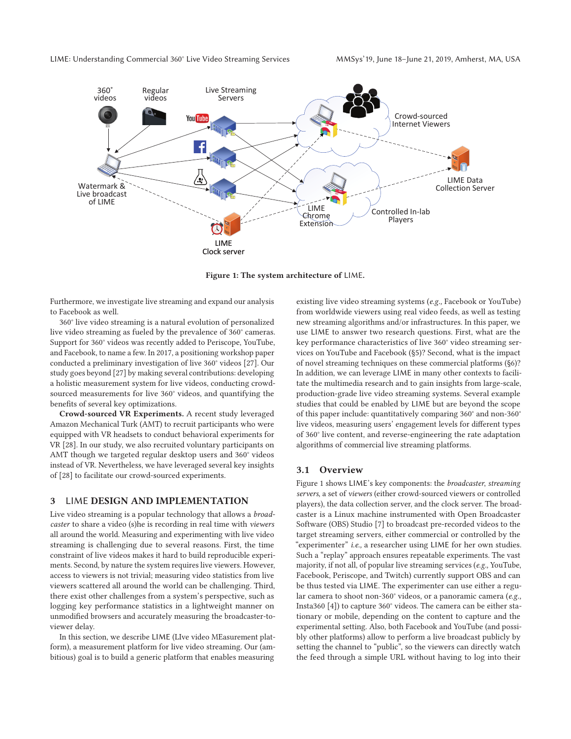

**Figure 1: The system architecture of** LIME**.**

Furthermore, we investigate live streaming and expand our analysis to Facebook as well.

360° live video streaming is a natural evolution of personalized live video streaming as fueled by the prevalence of 360° cameras. Support for 360° videos was recently added to Periscope, YouTube, and Facebook, to name a few. In 2017, a positioning workshop paper conducted a preliminary investigation of live 360° videos [27]. Our study goes beyond [27] by making several contributions: developing a holistic measurement system for live videos, conducting crowdsourced measurements for live 360° videos, and quantifying the benefits of several key optimizations.

**Crowd-sourced VR Experiments.** A recent study leveraged Amazon Mechanical Turk (AMT) to recruit participants who were equipped with VR headsets to conduct behavioral experiments for VR [28]. In our study, we also recruited voluntary participants on AMT though we targeted regular desktop users and 360° videos instead of VR. Nevertheless, we have leveraged several key insights of [28] to facilitate our crowd-sourced experiments.

# **3** LIME **DESIGN AND IMPLEMENTATION**

Live video streaming is a popular technology that allows a *broadcaster* to share a video (s)he is recording in real time with *viewers* all around the world. Measuring and experimenting with live video streaming is challenging due to several reasons. First, the time constraint of live videos makes it hard to build reproducible experiments. Second, by nature the system requires live viewers. However, access to viewers is not trivial; measuring video statistics from live viewers scattered all around the world can be challenging. Third, there exist other challenges from a system's perspective, such as logging key performance statistics in a lightweight manner on unmodified browsers and accurately measuring the broadcaster-toviewer delay.

In this section, we describe LIME (LIve video MEasurement platform), a measurement platform for live video streaming. Our (ambitious) goal is to build a generic platform that enables measuring

existing live video streaming systems (*e.g.,* Facebook or YouTube) from worldwide viewers using real video feeds, as well as testing new streaming algorithms and/or infrastructures. In this paper, we use LIME to answer two research questions. First, what are the key performance characteristics of live 360° video streaming services on YouTube and Facebook (§5)? Second, what is the impact of novel streaming techniques on these commercial platforms (§6)? In addition, we can leverage LIME in many other contexts to facilitate the multimedia research and to gain insights from large-scale, production-grade live video streaming systems. Several example studies that could be enabled by LIME but are beyond the scope of this paper include: quantitatively comparing 360° and non-360° live videos, measuring users' engagement levels for different types of 360° live content, and reverse-engineering the rate adaptation algorithms of commercial live streaming platforms.

#### **3.1 Overview**

Figure 1 shows LIME's key components: the *broadcaster*, *streaming servers*, a set of *viewers* (either crowd-sourced viewers or controlled players), the data collection server, and the clock server. The broadcaster is a Linux machine instrumented with Open Broadcaster Software (OBS) Studio [7] to broadcast pre-recorded videos to the target streaming servers, either commercial or controlled by the "experimenter" *i.e.,* a researcher using LIME for her own studies. Such a "replay" approach ensures repeatable experiments. The vast majority, if not all, of popular live streaming services (*e.g.,* YouTube, Facebook, Periscope, and Twitch) currently support OBS and can be thus tested via LIME. The experimenter can use either a regular camera to shoot non-360° videos, or a panoramic camera (*e.g.,* Insta360 [4]) to capture 360° videos. The camera can be either stationary or mobile, depending on the content to capture and the experimental setting. Also, both Facebook and YouTube (and possibly other platforms) allow to perform a live broadcast publicly by setting the channel to "public", so the viewers can directly watch the feed through a simple URL without having to log into their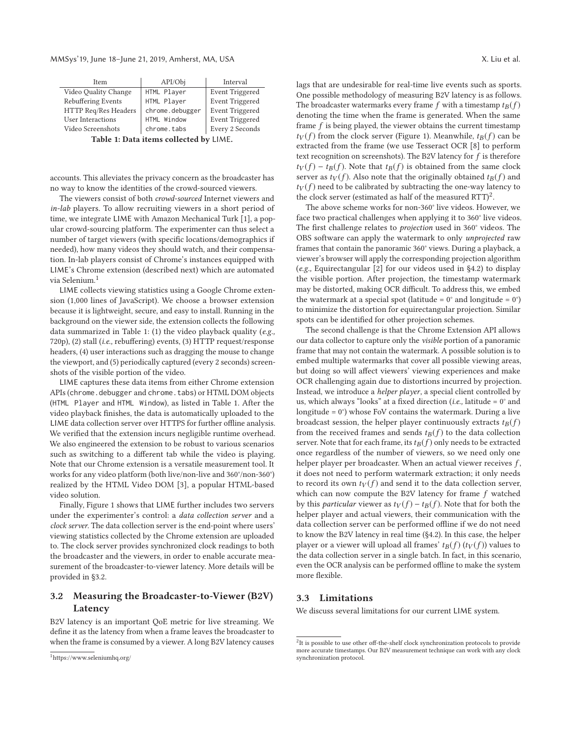| Item                 | API/Obj         | Interval               |
|----------------------|-----------------|------------------------|
| Video Quality Change | HTML Player     | <b>Event Triggered</b> |
| Rebuffering Events   | HTML Player     | <b>Event Triggered</b> |
| HTTP Req/Res Headers | chrome.debugger | <b>Event Triggered</b> |
| User Interactions    | HTML Window     | <b>Event Triggered</b> |
| Video Screenshots    | chrome.tabs     | Every 2 Seconds        |
|                      |                 |                        |

**Table 1: Data items collected by** LIME**.**

accounts. This alleviates the privacy concern as the broadcaster has no way to know the identities of the crowd-sourced viewers.

The viewers consist of both *crowd-sourced* Internet viewers and *in-lab* players. To allow recruiting viewers in a short period of time, we integrate LIME with Amazon Mechanical Turk [1], a popular crowd-sourcing platform. The experimenter can thus select a number of target viewers (with specific locations/demographics if needed), how many videos they should watch, and their compensation. In-lab players consist of Chrome's instances equipped with LIME's Chrome extension (described next) which are automated via Selenium.1

LIME collects viewing statistics using a Google Chrome extension (1,000 lines of JavaScript). We choose a browser extension because it is lightweight, secure, and easy to install. Running in the background on the viewer side, the extension collects the following data summarized in Table 1: (1) the video playback quality (*e.g.,* 720p), (2) stall (*i.e.,* rebuffering) events, (3) HTTP request/response headers, (4) user interactions such as dragging the mouse to change the viewport, and (5) periodically captured (every 2 seconds) screenshots of the visible portion of the video.

LIME captures these data items from either Chrome extension APIs (chrome.debugger and chrome.tabs) or HTML DOM objects (HTML Player and HTML Window), as listed in Table 1. After the video playback finishes, the data is automatically uploaded to the LIME data collection server over HTTPS for further offline analysis. We verified that the extension incurs negligible runtime overhead. We also engineered the extension to be robust to various scenarios such as switching to a different tab while the video is playing. Note that our Chrome extension is a versatile measurement tool. It works for any video platform (both live/non-live and 360°/non-360°) realized by the HTML Video DOM [3], a popular HTML-based video solution.

Finally, Figure 1 shows that LIME further includes two servers under the experimenter's control: a *data collection server* and a *clock server*. The data collection server is the end-point where users' viewing statistics collected by the Chrome extension are uploaded to. The clock server provides synchronized clock readings to both the broadcaster and the viewers, in order to enable accurate measurement of the broadcaster-to-viewer latency. More details will be provided in §3.2.

# **3.2 Measuring the Broadcaster-to-Viewer (B2V) Latency**

B2V latency is an important QoE metric for live streaming. We define it as the latency from when a frame leaves the broadcaster to when the frame is consumed by a viewer. A long B2V latency causes lags that are undesirable for real-time live events such as sports. One possible methodology of measuring B2V latency is as follows. The broadcaster watermarks every frame f with a timestamp  $t_B(f)$ denoting the time when the frame is generated. When the same frame f is being played, the viewer obtains the current timestamp  $t_V(f)$  from the clock server (Figure 1). Meanwhile,  $t_B(f)$  can be extracted from the frame (we use Tesseract OCR [8] to perform text recognition on screenshots). The B2V latency for  $f$  is therefore  $t_V(f) - t_B(f)$ . Note that  $t_B(f)$  is obtained from the same clock server as  $t_V(f)$ . Also note that the originally obtained  $t_B(f)$  and  $t_V(f)$  need to be calibrated by subtracting the one-way latency to the clock server (estimated as half of the measured  $RTT$ )<sup>2</sup>.

The above scheme works for non-360° live videos. However, we face two practical challenges when applying it to 360° live videos. The first challenge relates to *projection* used in 360° videos. The OBS software can apply the watermark to only *unprojected* raw frames that contain the panoramic 360° views. During a playback, a viewer's browser will apply the corresponding projection algorithm (*e.g.,* Equirectangular [2] for our videos used in §4.2) to display the visible portion. After projection, the timestamp watermark may be distorted, making OCR difficult. To address this, we embed the watermark at a special spot (latitude =  $0^{\circ}$  and longitude =  $0^{\circ}$ ) to minimize the distortion for equirectangular projection. Similar spots can be identified for other projection schemes.

The second challenge is that the Chrome Extension API allows our data collector to capture only the *visible* portion of a panoramic frame that may not contain the watermark. A possible solution is to embed multiple watermarks that cover all possible viewing areas, but doing so will affect viewers' viewing experiences and make OCR challenging again due to distortions incurred by projection. Instead, we introduce a *helper player*, a special client controlled by us, which always "looks" at a fixed direction (*i.e.,* latitude = 0° and longitude = 0°) whose FoV contains the watermark. During a live broadcast session, the helper player continuously extracts  $t_B(f)$ from the received frames and sends  $t_B(f)$  to the data collection server. Note that for each frame, its  $t_B(f)$  only needs to be extracted once regardless of the number of viewers, so we need only one helper player per broadcaster. When an actual viewer receives  $f$ , it does not need to perform watermark extraction; it only needs to record its own  $t_V(f)$  and send it to the data collection server, which can now compute the B2V latency for frame f watched by this *particular* viewer as  $t_V(f) - t_B(f)$ . Note that for both the helper player and actual viewers, their communication with the data collection server can be performed offline if we do not need to know the B2V latency in real time (§4.2). In this case, the helper player or a viewer will upload all frames'  $t_B(f)$  ( $t_V(f)$ ) values to the data collection server in a single batch. In fact, in this scenario, even the OCR analysis can be performed offline to make the system more flexible.

# **3.3 Limitations**

We discuss several limitations for our current LIME system.

<sup>1</sup>https://www.seleniumhq.org/

<sup>&</sup>lt;sup>2</sup>It is possible to use other off-the-shelf clock synchronization protocols to provide more accurate timestamps. Our B2V measurement technique can work with any clock synchronization protocol.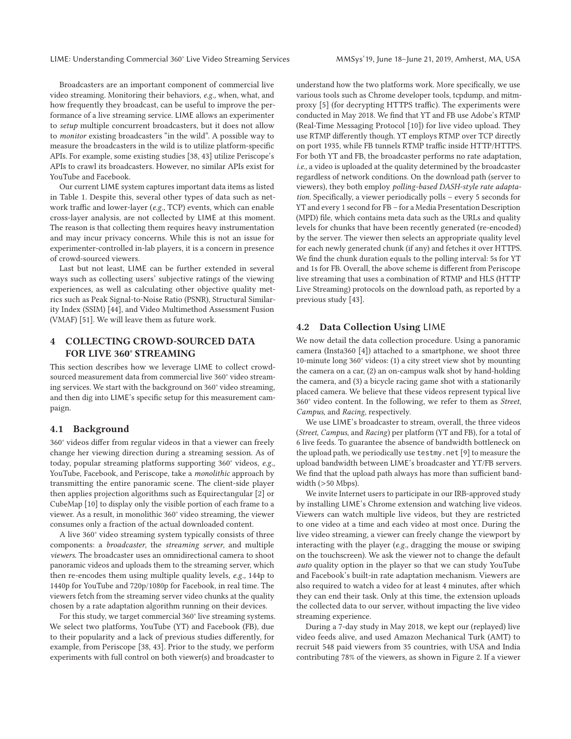LIME: Understanding Commercial 360° Live Video Streaming Services MMSys'19, June 18–June 21, 2019, Amherst, MA, USA

Broadcasters are an important component of commercial live video streaming. Monitoring their behaviors, *e.g.,* when, what, and how frequently they broadcast, can be useful to improve the performance of a live streaming service. LIME allows an experimenter to *setup* multiple concurrent broadcasters, but it does not allow to *monitor* existing broadcasters "in the wild". A possible way to measure the broadcasters in the wild is to utilize platform-specific APIs. For example, some existing studies [38, 43] utilize Periscope's APIs to crawl its broadcasters. However, no similar APIs exist for YouTube and Facebook.

Our current LIME system captures important data items as listed in Table 1. Despite this, several other types of data such as network traffic and lower-layer (*e.g.,* TCP) events, which can enable cross-layer analysis, are not collected by LIME at this moment. The reason is that collecting them requires heavy instrumentation and may incur privacy concerns. While this is not an issue for experimenter-controlled in-lab players, it is a concern in presence of crowd-sourced viewers.

Last but not least, LIME can be further extended in several ways such as collecting users' subjective ratings of the viewing experiences, as well as calculating other objective quality metrics such as Peak Signal-to-Noise Ratio (PSNR), Structural Similarity Index (SSIM) [44], and Video Multimethod Assessment Fusion (VMAF) [51]. We will leave them as future work.

# **4 COLLECTING CROWD-SOURCED DATA FOR LIVE 360° STREAMING**

This section describes how we leverage LIME to collect crowdsourced measurement data from commercial live 360° video streaming services. We start with the background on 360° video streaming, and then dig into LIME's specific setup for this measurement campaign.

# **4.1 Background**

360° videos differ from regular videos in that a viewer can freely change her viewing direction during a streaming session. As of today, popular streaming platforms supporting 360° videos, *e.g.,* YouTube, Facebook, and Periscope, take a *monolithic* approach by transmitting the entire panoramic scene. The client-side player then applies projection algorithms such as Equirectangular [2] or CubeMap [10] to display only the visible portion of each frame to a viewer. As a result, in monolithic 360° video streaming, the viewer consumes only a fraction of the actual downloaded content.

A live 360° video streaming system typically consists of three components: a *broadcaster*, the *streaming server*, and multiple *viewers*. The broadcaster uses an omnidirectional camera to shoot panoramic videos and uploads them to the streaming server, which then re-encodes them using multiple quality levels, *e.g.,* 144p to 1440p for YouTube and 720p/1080p for Facebook, in real time. The viewers fetch from the streaming server video chunks at the quality chosen by a rate adaptation algorithm running on their devices.

For this study, we target commercial 360° live streaming systems. We select two platforms, YouTube (YT) and Facebook (FB), due to their popularity and a lack of previous studies differently, for example, from Periscope [38, 43]. Prior to the study, we perform experiments with full control on both viewer(s) and broadcaster to

understand how the two platforms work. More specifically, we use various tools such as Chrome developer tools, tcpdump, and mitmproxy [5] (for decrypting HTTPS traffic). The experiments were conducted in May 2018. We find that YT and FB use Adobe's RTMP (Real-Time Messaging Protocol [10]) for live video upload. They use RTMP differently though. YT employs RTMP over TCP directly on port 1935, while FB tunnels RTMP traffic inside HTTP/HTTPS. For both YT and FB, the broadcaster performs no rate adaptation, *i.e.,* a video is uploaded at the quality determined by the broadcaster regardless of network conditions. On the download path (server to viewers), they both employ *polling-based DASH-style rate adaptation*. Specifically, a viewer periodically polls – every 5 seconds for YT and every 1 second for FB – for a Media Presentation Description (MPD) file, which contains meta data such as the URLs and quality levels for chunks that have been recently generated (re-encoded) by the server. The viewer then selects an appropriate quality level for each newly generated chunk (if any) and fetches it over HTTPS. We find the chunk duration equals to the polling interval: 5s for YT and 1s for FB. Overall, the above scheme is different from Periscope live streaming that uses a combination of RTMP and HLS (HTTP Live Streaming) protocols on the download path, as reported by a previous study [43].

# **4.2 Data Collection Using** LIME

We now detail the data collection procedure. Using a panoramic camera (Insta360 [4]) attached to a smartphone, we shoot three 10-minute long 360° videos: (1) a city street view shot by mounting the camera on a car, (2) an on-campus walk shot by hand-holding the camera, and (3) a bicycle racing game shot with a stationarily placed camera. We believe that these videos represent typical live 360° video content. In the following, we refer to them as *Street*, *Campus*, and *Racing*, respectively.

We use LIME's broadcaster to stream, overall, the three videos (*Street*, *Campus*, and *Racing*) per platform (YT and FB), for a total of 6 live feeds. To guarantee the absence of bandwidth bottleneck on the upload path, we periodically use testmy.net [9] to measure the upload bandwidth between LIME's broadcaster and YT/FB servers. We find that the upload path always has more than sufficient bandwidth (>50 Mbps).

We invite Internet users to participate in our IRB-approved study by installing LIME's Chrome extension and watching live videos. Viewers can watch multiple live videos, but they are restricted to one video at a time and each video at most once. During the live video streaming, a viewer can freely change the viewport by interacting with the player (*e.g.,* dragging the mouse or swiping on the touchscreen). We ask the viewer not to change the default *auto* quality option in the player so that we can study YouTube and Facebook's built-in rate adaptation mechanism. Viewers are also required to watch a video for at least 4 minutes, after which they can end their task. Only at this time, the extension uploads the collected data to our server, without impacting the live video streaming experience.

During a 7-day study in May 2018, we kept our (replayed) live video feeds alive, and used Amazon Mechanical Turk (AMT) to recruit 548 paid viewers from 35 countries, with USA and India contributing 78% of the viewers, as shown in Figure 2. If a viewer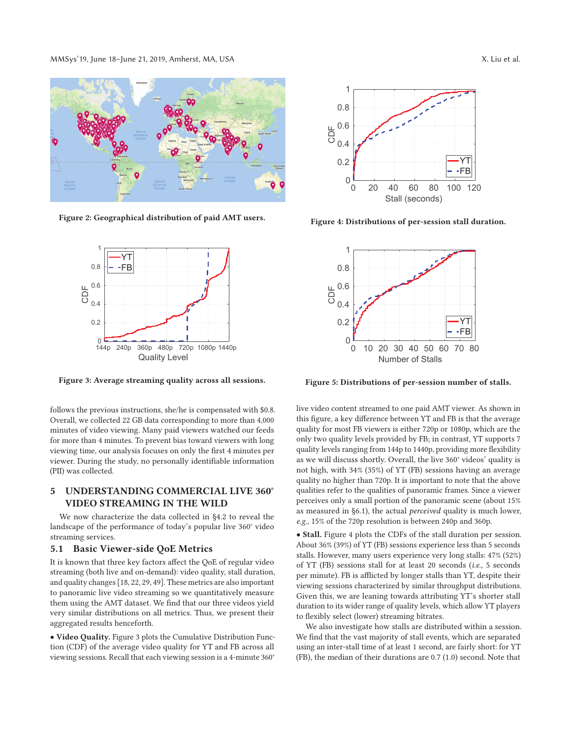MMSys'19, June 18–June 21, 2019, Amherst, MA, USA X. Liu et al.



**Figure 2: Geographical distribution of paid AMT users.**



**Figure 3: Average streaming quality across all sessions.**

follows the previous instructions, she/he is compensated with \$0.8. Overall, we collected 22 GB data corresponding to more than 4,000 minutes of video viewing. Many paid viewers watched our feeds for more than 4 minutes. To prevent bias toward viewers with long viewing time, our analysis focuses on only the first 4 minutes per viewer. During the study, no personally identifiable information (PII) was collected.

# **5 UNDERSTANDING COMMERCIAL LIVE 360° VIDEO STREAMING IN THE WILD**

We now characterize the data collected in §4.2 to reveal the landscape of the performance of today's popular live 360° video streaming services.

### **5.1 Basic Viewer-side QoE Metrics**

It is known that three key factors affect the QoE of regular video streaming (both live and on-demand): video quality, stall duration, and quality changes [18, 22, 29, 49]. These metrics are also important to panoramic live video streaming so we quantitatively measure them using the AMT dataset. We find that our three videos yield very similar distributions on all metrics. Thus, we present their aggregated results henceforth.

• **Video Quality.** Figure 3 plots the Cumulative Distribution Function (CDF) of the average video quality for YT and FB across all viewing sessions. Recall that each viewing session is a 4-minute 360°



**Figure 4: Distributions of per-session stall duration.**



**Figure 5: Distributions of per-session number of stalls.**

live video content streamed to one paid AMT viewer. As shown in this figure, a key difference between YT and FB is that the average quality for most FB viewers is either 720p or 1080p, which are the only two quality levels provided by FB; in contrast, YT supports 7 quality levels ranging from 144p to 1440p, providing more flexibility as we will discuss shortly. Overall, the live 360° videos' quality is not high, with 34% (35%) of YT (FB) sessions having an average quality no higher than 720p. It is important to note that the above qualities refer to the qualities of panoramic frames. Since a viewer perceives only a small portion of the panoramic scene (about 15% as measured in §6.1), the actual *perceived* quality is much lower, *e.g.,* 15% of the 720p resolution is between 240p and 360p.

• **Stall.** Figure 4 plots the CDFs of the stall duration per session. About 36% (39%) of YT (FB) sessions experience less than 5 seconds stalls. However, many users experience very long stalls: 47% (52%) of YT (FB) sessions stall for at least 20 seconds (*i.e.,* 5 seconds per minute). FB is afflicted by longer stalls than YT, despite their viewing sessions characterized by similar throughput distributions. Given this, we are leaning towards attributing YT's shorter stall duration to its wider range of quality levels, which allow YT players to flexibly select (lower) streaming bitrates.

We also investigate how stalls are distributed within a session. We find that the vast majority of stall events, which are separated using an inter-stall time of at least 1 second, are fairly short: for YT (FB), the median of their durations are 0.7 (1.0) second. Note that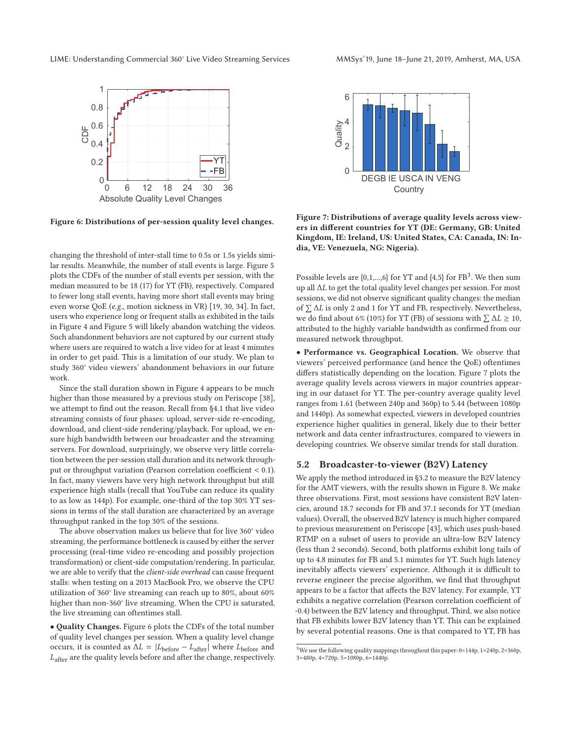LIME: Understanding Commercial 360° Live Video Streaming Services MMSys'19, June 18–June 21, 2019, Amherst, MA, USA



**Figure 6: Distributions of per-session quality level changes.**

changing the threshold of inter-stall time to 0.5s or 1.5s yields similar results. Meanwhile, the number of stall events is large. Figure 5 plots the CDFs of the number of stall events per session, with the median measured to be 18 (17) for YT (FB), respectively. Compared to fewer long stall events, having more short stall events may bring even worse QoE (*e.g.,* motion sickness in VR) [19, 30, 34]. In fact, users who experience long or frequent stalls as exhibited in the tails in Figure 4 and Figure 5 will likely abandon watching the videos. Such abandonment behaviors are not captured by our current study where users are required to watch a live video for at least 4 minutes in order to get paid. This is a limitation of our study. We plan to study 360° video viewers' abandonment behaviors in our future work.

Since the stall duration shown in Figure 4 appears to be much higher than those measured by a previous study on Periscope [38], we attempt to find out the reason. Recall from §4.1 that live video streaming consists of four phases: upload, server-side re-encoding, download, and client-side rendering/playback. For upload, we ensure high bandwidth between our broadcaster and the streaming servers. For download, surprisingly, we observe very little correlation between the per-session stall duration and its network throughput or throughput variation (Pearson correlation coefficient < 0.1). In fact, many viewers have very high network throughput but still experience high stalls (recall that YouTube can reduce its quality to as low as 144p). For example, one-third of the top 30% YT sessions in terms of the stall duration are characterized by an average throughput ranked in the top 30% of the sessions.

The above observation makes us believe that for live 360° video streaming, the performance bottleneck is caused by either the server processing (real-time video re-encoding and possibly projection transformation) or client-side computation/rendering. In particular, we are able to verify that the *client-side overhead* can cause frequent stalls: when testing on a 2013 MacBook Pro, we observe the CPU utilization of 360° live streaming can reach up to 80%, about 60% higher than non-360° live streaming. When the CPU is saturated, the live streaming can oftentimes stall.

• **Quality Changes.** Figure 6 plots the CDFs of the total number of quality level changes per session. When a quality level change occurs, it is counted as  $\Delta L = |L_{before} - L_{after}|$  where  $L_{before}$  and Lafter are the quality levels before and after the change, respectively.



**Figure 7: Distributions of average quality levels across viewers in different countries for YT (DE: Germany, GB: United Kingdom, IE: Ireland, US: United States, CA: Canada, IN: India, VE: Venezuela, NG: Nigeria).**

Possible levels are  $\{0,1,...,6\}$  for YT and  $\{4,5\}$  for FB<sup>3</sup>. We then sum up all ΔL to get the total quality level changes per session. For most sessions, we did not observe significant quality changes: the median of  $\Sigma$   $\Delta L$  is only 2 and 1 for YT and FB, respectively. Nevertheless, we do find about 6% (10%) for YT (FB) of sessions with  $\sum \Delta L \ge 10$ , attributed to the highly variable bandwidth as confirmed from our measured network throughput.

• **Performance vs. Geographical Location.** We observe that viewers' perceived performance (and hence the QoE) oftentimes differs statistically depending on the location. Figure 7 plots the average quality levels across viewers in major countries appearing in our dataset for YT. The per-country average quality level ranges from 1.61 (between 240p and 360p) to 5.44 (between 1080p and 1440p). As somewhat expected, viewers in developed countries experience higher qualities in general, likely due to their better network and data center infrastructures, compared to viewers in developing countries. We observe similar trends for stall duration.

# **5.2 Broadcaster-to-viewer (B2V) Latency**

We apply the method introduced in §3.2 to measure the B2V latency for the AMT viewers, with the results shown in Figure 8. We make three observations. First, most sessions have consistent B2V latencies, around 18.7 seconds for FB and 37.1 seconds for YT (median values). Overall, the observed B2V latency is much higher compared to previous measurement on Periscope [43], which uses push-based RTMP on a subset of users to provide an ultra-low B2V latency (less than 2 seconds). Second, both platforms exhibit long tails of up to 4.8 minutes for FB and 5.1 minutes for YT. Such high latency inevitably affects viewers' experience. Although it is difficult to reverse engineer the precise algorithm, we find that throughput appears to be a factor that affects the B2V latency. For example, YT exhibits a negative correlation (Pearson correlation coefficient of -0.4) between the B2V latency and throughput. Third, we also notice that FB exhibits lower B2V latency than YT. This can be explained by several potential reasons. One is that compared to YT, FB has

 $^3\rm{We}$  use the following quality mappings throughout this paper: 0=144p, 1=240p, 2=360p, 3=480p, 4=720p, 5=1080p, 6=1440p.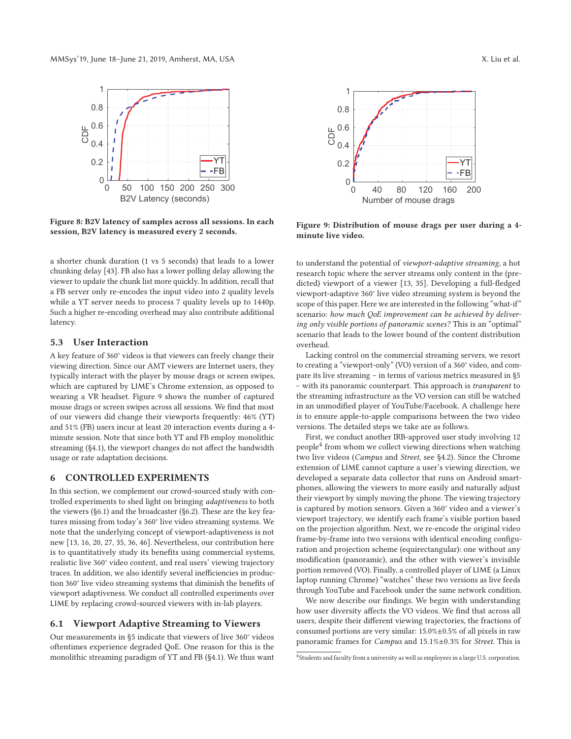

**Figure 8: B2V latency of samples across all sessions. In each session, B2V latency is measured every 2 seconds.**

a shorter chunk duration (1 vs 5 seconds) that leads to a lower chunking delay [43]. FB also has a lower polling delay allowing the viewer to update the chunk list more quickly. In addition, recall that a FB server only re-encodes the input video into 2 quality levels while a YT server needs to process 7 quality levels up to 1440p. Such a higher re-encoding overhead may also contribute additional latency.

# **5.3 User Interaction**

A key feature of 360° videos is that viewers can freely change their viewing direction. Since our AMT viewers are Internet users, they typically interact with the player by mouse drags or screen swipes, which are captured by LIME's Chrome extension, as opposed to wearing a VR headset. Figure 9 shows the number of captured mouse drags or screen swipes across all sessions. We find that most of our viewers did change their viewports frequently: 46% (YT) and 51% (FB) users incur at least 20 interaction events during a 4 minute session. Note that since both YT and FB employ monolithic streaming (§4.1), the viewport changes do not affect the bandwidth usage or rate adaptation decisions.

# **6 CONTROLLED EXPERIMENTS**

In this section, we complement our crowd-sourced study with controlled experiments to shed light on bringing *adaptiveness* to both the viewers (§6.1) and the broadcaster (§6.2). These are the key features missing from today's 360° live video streaming systems. We note that the underlying concept of viewport-adaptiveness is not new [13, 16, 20, 27, 35, 36, 46]. Nevertheless, our contribution here is to quantitatively study its benefits using commercial systems, realistic live 360° video content, and real users' viewing trajectory traces. In addition, we also identify several inefficiencies in production 360° live video streaming systems that diminish the benefits of viewport adaptiveness. We conduct all controlled experiments over LIME by replacing crowd-sourced viewers with in-lab players.

#### **6.1 Viewport Adaptive Streaming to Viewers**

Our measurements in §5 indicate that viewers of live 360° videos oftentimes experience degraded QoE. One reason for this is the monolithic streaming paradigm of YT and FB (§4.1). We thus want



**Figure 9: Distribution of mouse drags per user during a 4 minute live video.**

to understand the potential of *viewport-adaptive streaming*, a hot research topic where the server streams only content in the (predicted) viewport of a viewer [13, 35]. Developing a full-fledged viewport-adaptive 360° live video streaming system is beyond the scope of this paper. Here we are interested in the following "what-if" scenario: *how much QoE improvement can be achieved by delivering only visible portions of panoramic scenes?* This is an "optimal" scenario that leads to the lower bound of the content distribution overhead.

Lacking control on the commercial streaming servers, we resort to creating a "viewport-only" (VO) version of a 360° video, and compare its live streaming – in terms of various metrics measured in §5 – with its panoramic counterpart. This approach is *transparent* to the streaming infrastructure as the VO version can still be watched in an unmodified player of YouTube/Facebook. A challenge here is to ensure apple-to-apple comparisons between the two video versions. The detailed steps we take are as follows.

First, we conduct another IRB-approved user study involving 12 people<sup>4</sup> from whom we collect viewing directions when watching two live videos (*Campus* and *Street*, see §4.2). Since the Chrome extension of LIME cannot capture a user's viewing direction, we developed a separate data collector that runs on Android smartphones, allowing the viewers to more easily and naturally adjust their viewport by simply moving the phone. The viewing trajectory is captured by motion sensors. Given a 360° video and a viewer's viewport trajectory, we identify each frame's visible portion based on the projection algorithm. Next, we re-encode the original video frame-by-frame into two versions with identical encoding configuration and projection scheme (equirectangular): one without any modification (panoramic), and the other with viewer's invisible portion removed (VO). Finally, a controlled player of LIME (a Linux laptop running Chrome) "watches" these two versions as live feeds through YouTube and Facebook under the same network condition.

We now describe our findings. We begin with understanding how user diversity affects the VO videos. We find that across all users, despite their different viewing trajectories, the fractions of consumed portions are very similar: 15.0%±0.5% of all pixels in raw panoramic frames for *Campus* and 15.1%±0.3% for *Street*. This is

<sup>4</sup>Students and faculty from a university as well as employees in a large U.S. corporation.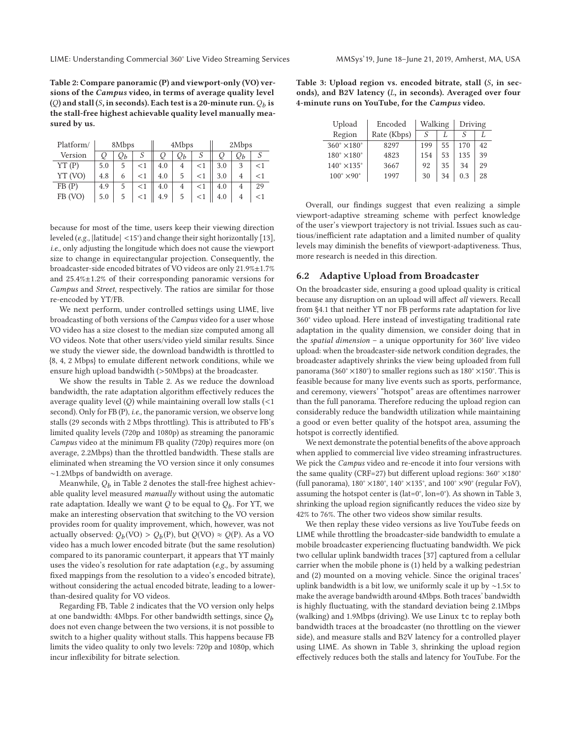**Table 2: Compare panoramic (P) and viewport-only (VO) versions of the** *Campus* **video, in terms of average quality level**  $(Q)$  and stall  $(S, \text{in seconds})$ . Each test is a 20-minute run.  $Q_b$  is **the stall-free highest achievable quality level manually measured by us.**

| Platform/ | 8Mbps |       |        | 4Mbps |                 |       | 2Mbps |    |       |
|-----------|-------|-------|--------|-------|-----------------|-------|-------|----|-------|
| Version   | Q     | $Q_b$ |        | Q     | $\mathcal{Q}_b$ |       |       | Qь |       |
| YT(P)     | 5.0   | 5     | $<$ 1  | 4.0   | $\overline{4}$  |       | 3.0   | 3  | $<$ 1 |
| YT (VO)   | 4.8   | 6     | ${<}1$ | 4.0   |                 |       | 3.0   | 4  | $<$ 1 |
| FB(P)     | 4.9   |       | ${<}1$ | 4.0   | 4               | $<$ 1 | 4.0   | 4  | 29    |
| FB (VO)   | 5.0   |       | $<$ 1  | 4.9   | 5               |       | 4.0   |    |       |

because for most of the time, users keep their viewing direction leveled (*e.g.,* |latitude| <15°) and change their sight horizontally [13], *i.e.,* only adjusting the longitude which does not cause the viewport size to change in equirectangular projection. Consequently, the broadcaster-side encoded bitrates of VO videos are only 21.9%±1.7% and 25.4%±1.2% of their corresponding panoramic versions for *Campus* and *Street*, respectively. The ratios are similar for those re-encoded by YT/FB.

We next perform, under controlled settings using LIME, live broadcasting of both versions of the *Campus* video for a user whose VO video has a size closest to the median size computed among all VO videos. Note that other users/video yield similar results. Since we study the viewer side, the download bandwidth is throttled to {8, 4, 2 Mbps} to emulate different network conditions, while we ensure high upload bandwidth (>50Mbps) at the broadcaster.

We show the results in Table 2. As we reduce the download bandwidth, the rate adaptation algorithm effectively reduces the average quality level  $(Q)$  while maintaining overall low stalls  $\left($  < 1 second). Only for FB (P), *i.e.,* the panoramic version, we observe long stalls (29 seconds with 2 Mbps throttling). This is attributed to FB's limited quality levels (720p and 1080p) as streaming the panoramic *Campus* video at the minimum FB quality (720p) requires more (on average, 2.2Mbps) than the throttled bandwidth. These stalls are eliminated when streaming the VO version since it only consumes ∼1.2Mbps of bandwidth on average.

Meanwhile,  $Q_b$  in Table 2 denotes the stall-free highest achievable quality level measured *manually* without using the automatic rate adaptation. Ideally we want  $Q$  to be equal to  $Q_b$ . For YT, we make an interesting observation that switching to the VO version provides room for quality improvement, which, however, was not actually observed:  $Q_b(\text{VO}) > Q_b(\text{P})$ , but  $Q(\text{VO}) \approx Q(\text{P})$ . As a VO video has a much lower encoded bitrate (but the same resolution) compared to its panoramic counterpart, it appears that YT mainly uses the video's resolution for rate adaptation (*e.g.,* by assuming fixed mappings from the resolution to a video's encoded bitrate), without considering the actual encoded bitrate, leading to a lowerthan-desired quality for VO videos.

Regarding FB, Table 2 indicates that the VO version only helps at one bandwidth: 4Mbps. For other bandwidth settings, since  $Q_b$ does not even change between the two versions, it is not possible to switch to a higher quality without stalls. This happens because FB limits the video quality to only two levels: 720p and 1080p, which incur inflexibility for bitrate selection.

**Table 3: Upload region vs. encoded bitrate, stall (**S**, in seconds), and B2V latency (**L**, in seconds). Averaged over four 4-minute runs on YouTube, for the** *Campus* **video.**

| Upload                       | Encoded     | Walking |    | Driving |    |
|------------------------------|-------------|---------|----|---------|----|
| Region                       | Rate (Kbps) | S       |    |         |    |
| $360^\circ \times 180^\circ$ | 8297        | 199     | 55 | 170     | 42 |
| $180^\circ \times 180^\circ$ | 4823        | 154     | 53 | 135     | 39 |
| $140^\circ \times 135^\circ$ | 3667        | 92      | 35 | 34      | 29 |
| $100^\circ \times 90^\circ$  | 1997        | 30      | 34 | 0.3     | 28 |

Overall, our findings suggest that even realizing a simple viewport-adaptive streaming scheme with perfect knowledge of the user's viewport trajectory is not trivial. Issues such as cautious/inefficient rate adaptation and a limited number of quality levels may diminish the benefits of viewport-adaptiveness. Thus, more research is needed in this direction.

# **6.2 Adaptive Upload from Broadcaster**

On the broadcaster side, ensuring a good upload quality is critical because any disruption on an upload will affect *all* viewers. Recall from §4.1 that neither YT nor FB performs rate adaptation for live 360° video upload. Here instead of investigating traditional rate adaptation in the quality dimension, we consider doing that in the *spatial dimension* – a unique opportunity for 360° live video upload: when the broadcaster-side network condition degrades, the broadcaster adaptively shrinks the view being uploaded from full panorama (360° ×180°) to smaller regions such as  $180^\circ \times 150^\circ$ . This is feasible because for many live events such as sports, performance, and ceremony, viewers' "hotspot" areas are oftentimes narrower than the full panorama. Therefore reducing the upload region can considerably reduce the bandwidth utilization while maintaining a good or even better quality of the hotspot area, assuming the hotspot is correctly identified.

We next demonstrate the potential benefits of the above approach when applied to commercial live video streaming infrastructures. We pick the *Campus* video and re-encode it into four versions with the same quality (CRF=27) but different upload regions: 360° ×180° (full panorama), 180° ×180°, 140° ×135°, and 100° ×90° (regular FoV), assuming the hotspot center is (lat=0°, lon=0°). As shown in Table 3, shrinking the upload region significantly reduces the video size by 42% to 76%. The other two videos show similar results.

We then replay these video versions as live YouTube feeds on LIME while throttling the broadcaster-side bandwidth to emulate a mobile broadcaster experiencing fluctuating bandwidth. We pick two cellular uplink bandwidth traces [37] captured from a cellular carrier when the mobile phone is (1) held by a walking pedestrian and (2) mounted on a moving vehicle. Since the original traces' uplink bandwidth is a bit low, we uniformly scale it up by ∼1.5× to make the average bandwidth around 4Mbps. Both traces' bandwidth is highly fluctuating, with the standard deviation being 2.1Mbps (walking) and 1.9Mbps (driving). We use Linux tc to replay both bandwidth traces at the broadcaster (no throttling on the viewer side), and measure stalls and B2V latency for a controlled player using LIME. As shown in Table 3, shrinking the upload region effectively reduces both the stalls and latency for YouTube. For the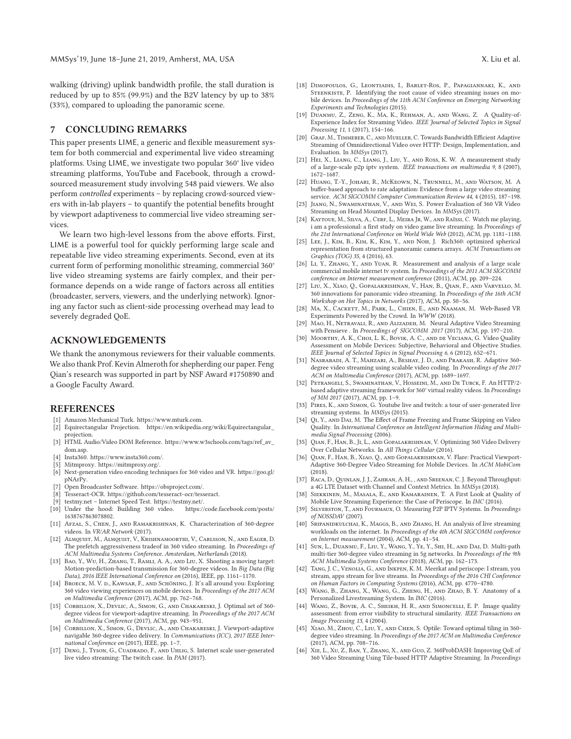walking (driving) uplink bandwidth profile, the stall duration is reduced by up to 85% (99.9%) and the B2V latency by up to 38% (33%), compared to uploading the panoramic scene.

# **7 CONCLUDING REMARKS**

This paper presents LIME, a generic and flexible measurement system for both commercial and experimental live video streaming platforms. Using LIME, we investigate two popular 360° live video streaming platforms, YouTube and Facebook, through a crowdsourced measurement study involving 548 paid viewers. We also perform *controlled* experiments – by replacing crowd-sourced viewers with in-lab players – to quantify the potential benefits brought by viewport adaptiveness to commercial live video streaming services.

We learn two high-level lessons from the above efforts. First, LIME is a powerful tool for quickly performing large scale and repeatable live video streaming experiments. Second, even at its current form of performing monolithic streaming, commercial 360° live video streaming systems are fairly complex, and their performance depends on a wide range of factors across all entities (broadcaster, servers, viewers, and the underlying network). Ignoring any factor such as client-side processing overhead may lead to severely degraded QoE.

# **ACKNOWLEDGEMENTS**

We thank the anonymous reviewers for their valuable comments. We also thank Prof. Kevin Almeroth for shepherding our paper. Feng Qian's research was supported in part by NSF Award #1750890 and a Google Faculty Award.

#### **REFERENCES**

- [1] Amazon Mechanical Turk. https://www.mturk.com.
- [2] Equirectangular Projection. https://en.wikipedia.org/wiki/Equirectangular\_ projection.
- [3] HTML Audio/Video DOM Reference. https://www.w3schools.com/tags/ref\_av\_ dom.asp.
- [4] Insta360. https://www.insta360.com/.
- Mitmproxy. https://mitmproxy.org/.
- [6] Next-generation video encoding techniques for 360 video and VR. https://goo.gl/ pNArPy.
- [7] Open Broadcaster Software. https://obsproject.com/.
- [8] Tesseract-OCR. https://github.com/tesseract-ocr/tesseract.
- 
- [9] testmy.net Internet Speed Test. https://testmy.net/.  $[10]$  Under the hood: Building 360 video. 1638767863078802.
- [11] AFZAL, S., CHEN, J., AND RAMAKRISHNAN, K. Characterization of 360-degree videos. In *VR/AR Network* (2017).
- [12] ALMQUIST, M., ALMQUIST, V., KRISHNAMOORTHI, V., CARLSSON, N., AND EAGER, D. The prefetch aggressiveness tradeof in 360 video streaming. In *Proceedings of ACM Multimedia Systems Conference. Amsterdam, Netherlands* (2018).
- [13] Bao, Y., Wu, H., Zhang, T., Ramli, A. A., and Liu, X. Shooting a moving target: Motion-prediction-based transmission for 360-degree videos. In *Big Data (Big Data), 2016 IEEE International Conference on* (2016), IEEE, pp. 1161–1170.
- [14] BROECK, M. V. D., KAWSAR, F., AND SCHÖNING, J. It's all around you: Exploring 360 video viewing experiences on mobile devices. In *Proceedings of the 2017 ACM on Multimedia Conference* (2017), ACM, pp. 762–768.
- [15] CORBILLON, X., DEVLIC, A., SIMON, G., AND CHAKARESKI, J. Optimal set of 360degree videos for viewport-adaptive streaming. In *Proceedings of the 2017 ACM on Multimedia Conference* (2017), ACM, pp. 943–951.
- [16] CORBILLON, X., SIMON, G., DEVLIC, A., AND CHAKARESKI, J. Viewport-adaptive navigable 360-degree video delivery. In *Communications (ICC), 2017 IEEE International Conference on* (2017), IEEE, pp. 1–7.
- [17] DENG, J., TYSON, G., CUADRADO, F., AND UHLIG, S. Internet scale user-generated live video streaming: The twitch case. In *PAM* (2017).
- [18] Dimopoulos, G., Leontiadis, I., Barlet-Ros, P., Papagiannaki, K., and STEENKISTE, P. Identifying the root cause of video streaming issues on mobile devices. In *Proceedings of the 11th ACM Conference on Emerging Networking Experiments and Technologies* (2015).
- [19] Duanmu, Z., Zeng, K., Ma, K., Rehman, A., and Wang, Z. A Quality-of-Experience Index for Streaming Video. *IEEE Journal of Selected Topics in Signal Processing 11*, 1 (2017), 154–166.
- [20] Graf, M., Timmerer, C., and Mueller, C. Towards Bandwidth Efficient Adaptive Streaming of Omnidirectional Video over HTTP: Design, Implementation, and Evaluation. In *MMSys* (2017).
- [21] Hei, X., Liang, C., Liang, J., Liu, Y., and Ross, K. W. A measurement study of a large-scale p2p iptv system. *IEEE transactions on multimedia 9*, 8 (2007), 1672–1687.
- [22] Huang, T.-Y., Johari, R., McKeown, N., Trunnell, M., and Watson, M. A buffer-based approach to rate adaptation: Evidence from a large video streaming service. *ACM SIGCOMM Computer Communication Review 44*, 4 (2015), 187–198.
- [23] Jiang, N., Swaminathan, V., and Wei, S. Power Evaluation of 360 VR Video Streaming on Head Mounted Display Devices. In *MMSys* (2017).
- [24] KAYTOUE, M., SILVA, A., CERF, L., MEIRA JR, W., AND RAÏSSI, C. Watch me playing, i am a professional: a first study on video game live streaming. In *Proceedings of the 21st International Conference on World Wide Web* (2012), ACM, pp. 1181–1188.
- [25] LEE, J., KIM, B., KIM, K., KIM, Y., AND NOH, J. Rich360: optimized spherical representation from structured panoramic camera arrays. *ACM Transactions on Graphics (TOG) 35*, 4 (2016), 63.
- [26] LI, Y., ZHANG, Y., AND YUAN, R. Measurement and analysis of a large scale commercial mobile internet tv system. In *Proceedings of the 2011 ACM SIGCOMM conference on Internet measurement conference* (2011), ACM, pp. 209–224.
- [27] Liu, X., Xiao, Q., Gopalakrishnan, V., Han, B., Qian, F., and Varvello, M. 360 innovations for panoramic video streaming. In *Proceedings of the 16th ACM Workshop on Hot Topics in Networks* (2017), ACM, pp. 50–56.
- [28] Ma, X., Cackett, M., Park, L., Chien, E., and Naaman, M. Web-Based VR Experiments Powered by the Crowd. In *WWW* (2018).
- [29] MAO, H., NETRAVALI, R., AND ALIZADEH, M. Neural Adaptive Video Streaming with Pensieve . In *Proceedings of SIGCOMM 2017* (2017), ACM, pp. 197–210.
- [30] MOORTHY, A. K., CHOI, L. K., BOVIK, A. C., AND DE VECIANA, G. Video Quality Assessment on Mobile Devices: Subjective, Behavioral and Objective Studies. *IEEE Journal of Selected Topics in Signal Processing 6*, 6 (2012), 652–671.
- [31] Nasrabadi, A. T., Mahzari, A., Beshay, J. D., and Prakash, R. Adaptive 360 degree video streaming using scalable video coding. In *Proceedings of the 2017 ACM on Multimedia Conference* (2017), ACM, pp. 1689–1697.
- [32] Petrangeli, S., Swaminathan, V., Hosseini, M., and De Turck, F. An HTTP/2 based adaptive streaming framework for 360° virtual reality videos. In *Proceedings of MM 2017* (2017), ACM, pp. 1–9.
- [33] PIRES, K., AND SIMON, G. Youtube live and twitch: a tour of user-generated live streaming systems. In *MMSys* (2015).
- [34] QI, Y., AND DAI, M. The Effect of Frame Freezing and Frame Skipping on Video Quality. In *International Conference on Intelligent Information Hiding and Multimedia Signal Processing* (2006).
- [35] Qian, F., Han, B., Ji, L., and Gopalakrishnan, V. Optimizing 360 Video Delivery Over Cellular Networks. In *All Things Cellular* (2016).
- [36] Qian, F., Han, B., Xiao, Q., and Gopalakrishnan, V. Flare: Practical Viewport-Adaptive 360-Degree Video Streaming for Mobile Devices. In *ACM MobiCom* (2018).
- [37] Raca, D.,Quinlan, J. J., Zahran, A. H., , and Sreenan, C. J. Beyond Throughput: a 4G LTE Dataset with Channel and Context Metrics. In *MMSys* (2018).
- [38] Siekkinen, M., Masala, E., and Kamarainen, T. A First Look at Quality of Mobile Live Streaming Experience: the Case of Periscope. In *IMC* (2016).
- [39] Silverston, T., and Fourmaux, O. Measuring P2P IPTV Systems. In *Proceedings of NOSSDAV* (2007).
- [40] Sripanidkulchai, K., Maggs, B., and Zhang, H. An analysis of live streaming workloads on the internet. In *Proceedings of the 4th ACM SIGCOMM conference on Internet measurement* (2004), ACM, pp. 41–54.
- [41] Sun, L., Duanmu, F., Liu, Y., Wang, Y., Ye, Y., Shi, H., and Dai, D. Multi-path multi-tier 360-degree video streaming in 5g networks. In *Proceedings of the 9th ACM Multimedia Systems Conference* (2018), ACM, pp. 162–173.
- [42] Tang, J. C., Venolia, G., and Inkpen, K. M. Meerkat and periscope: I stream, you stream, apps stream for live streams. In *Proceedings of the 2016 CHI Conference on Human Factors in Computing Systems* (2016), ACM, pp. 4770–4780.
- [43] Wang, B., Zhang, X., Wang, G., Zheng, H., and Zhao, B. Y. Anatomy of a Personalized Livestreaming System. In *IMC* (2016).
- [44] WANG, Z., BOVIK, A. C., SHEIKH, H. R., AND SIMONCELLI, E. P. Image quality assessment: from error visibility to structural similarity. *IEEE Transactions on Image Processing 13*, 4 (2004).
- [45] XIAO, M., ZHOU, C., LIU, Y., AND CHEN, S. Optile: Toward optimal tiling in 360degree video streaming. In *Proceedings of the 2017 ACM on Multimedia Conference* (2017), ACM, pp. 708–716.
- [46] Xie, L., Xu, Z., Ban, Y., Zhang, X., and Guo, Z. 360ProbDASH: Improving QoE of 360 Video Streaming Using Tile-based HTTP Adaptive Streaming. In *Proceedings*